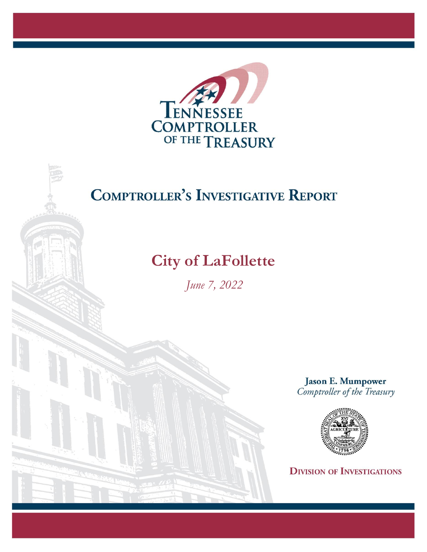

# **COMPTROLLER'S INVESTIGATIVE REPORT**

## **City of LaFollette**

*June 7, 2022*

**Jason E. Mumpower** Comptroller of the Treasury



**DIVISION OF INVESTIGATIONS**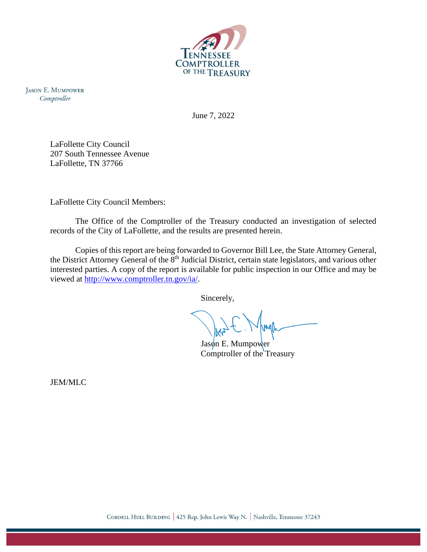

**JASON E. MUMPOWER** Comptroller

June 7, 2022

LaFollette City Council 207 South Tennessee Avenue LaFollette, TN 37766

LaFollette City Council Members:

The Office of the Comptroller of the Treasury conducted an investigation of selected records of the City of LaFollette, and the results are presented herein.

Copies of this report are being forwarded to Governor Bill Lee, the State Attorney General, the District Attorney General of the 8<sup>th</sup> Judicial District, certain state legislators, and various other interested parties. A copy of the report is available for public inspection in our Office and may be viewed at [http://www.comptroller.tn.gov/ia/.](http://www.comptroller.tn.gov/ia/)

Sincerely,

 $Jas\phi n$  E. Mumpower Comptroller of the Treasury

JEM/MLC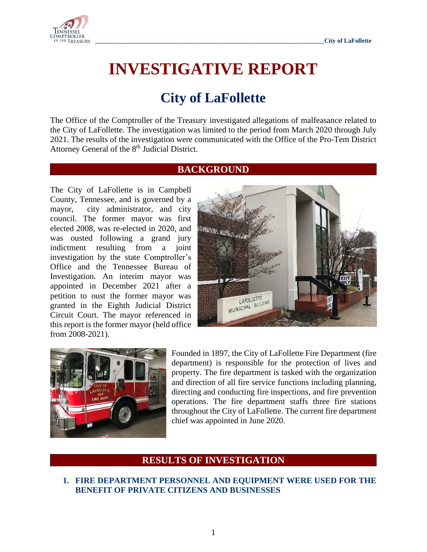

# **INVESTIGATIVE REPORT**

### **City of LaFollette**

The Office of the Comptroller of the Treasury investigated allegations of malfeasance related to the City of LaFollette. The investigation was limited to the period from March 2020 through July 2021. The results of the investigation were communicated with the Office of the Pro-Tem District Attorney General of the 8<sup>th</sup> Judicial District.

#### **BACKGROUND**

The City of LaFollette is in Campbell County, Tennessee, and is governed by a mayor, city administrator, and city council. The former mayor was first elected 2008, was re-elected in 2020, and was ousted following a grand jury indictment resulting from a joint investigation by the state Comptroller's Office and the Tennessee Bureau of Investigation. An interim mayor was appointed in December 2021 after a petition to oust the former mayor was granted in the Eighth Judicial District Circuit Court. The mayor referenced in this report is the former mayor (held office from 2008-2021).





Founded in 1897, the City of LaFollette Fire Department (fire department) is responsible for the protection of lives and property. The fire department is tasked with the organization and direction of all fire service functions including planning, directing and conducting fire inspections, and fire prevention operations. The fire department staffs three fire stations throughout the City of LaFollette. The current fire department chief was appointed in June 2020.

### **RESULTS OF INVESTIGATION**

**1. FIRE DEPARTMENT PERSONNEL AND EQUIPMENT WERE USED FOR THE BENEFIT OF PRIVATE CITIZENS AND BUSINESSES**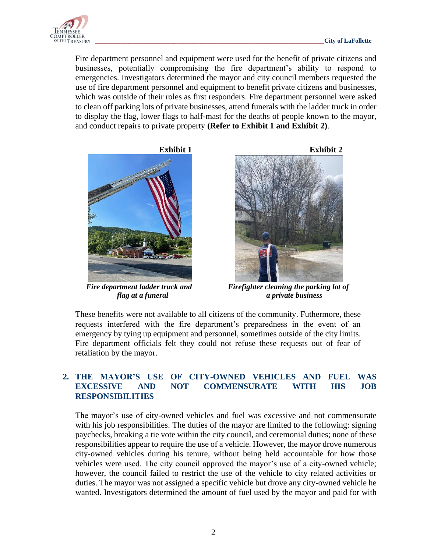

Fire department personnel and equipment were used for the benefit of private citizens and businesses, potentially compromising the fire department's ability to respond to emergencies. Investigators determined the mayor and city council members requested the use of fire department personnel and equipment to benefit private citizens and businesses, which was outside of their roles as first responders. Fire department personnel were asked to clean off parking lots of private businesses, attend funerals with the ladder truck in order to display the flag, lower flags to half-mast for the deaths of people known to the mayor, and conduct repairs to private property **(Refer to Exhibit 1 and Exhibit 2)**.





 *Fire department ladder truck and Firefighter cleaning the parking lot of flag at a funeral a private business*

These benefits were not available to all citizens of the community. Futhermore, these requests interfered with the fire department's preparedness in the event of an emergency by tying up equipment and personnel, sometimes outside of the city limits. Fire department officials felt they could not refuse these requests out of fear of retaliation by the mayor.

#### **2. THE MAYOR'S USE OF CITY-OWNED VEHICLES AND FUEL WAS EXCESSIVE AND NOT COMMENSURATE WITH HIS JOB RESPONSIBILITIES**

The mayor's use of city-owned vehicles and fuel was excessive and not commensurate with his job responsibilities. The duties of the mayor are limited to the following: signing paychecks, breaking a tie vote within the city council, and ceremonial duties; none of these responsibilities appear to require the use of a vehicle. However, the mayor drove numerous city-owned vehicles during his tenure, without being held accountable for how those vehicles were used. The city council approved the mayor's use of a city-owned vehicle; however, the council failed to restrict the use of the vehicle to city related activities or duties. The mayor was not assigned a specific vehicle but drove any city-owned vehicle he wanted. Investigators determined the amount of fuel used by the mayor and paid for with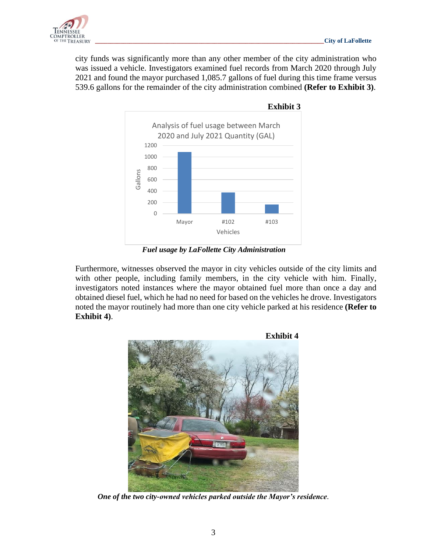

city funds was significantly more than any other member of the city administration who was issued a vehicle. Investigators examined fuel records from March 2020 through July 2021 and found the mayor purchased 1,085.7 gallons of fuel during this time frame versus 539.6 gallons for the remainder of the city administration combined **(Refer to Exhibit 3)**.



*Fuel usage by LaFollette City Administration*

Furthermore, witnesses observed the mayor in city vehicles outside of the city limits and with other people, including family members, in the city vehicle with him. Finally, investigators noted instances where the mayor obtained fuel more than once a day and obtained diesel fuel, which he had no need for based on the vehicles he drove. Investigators noted the mayor routinely had more than one city vehicle parked at his residence **(Refer to Exhibit 4)**.



*One of the two city-owned vehicles parked outside the Mayor's residence.*